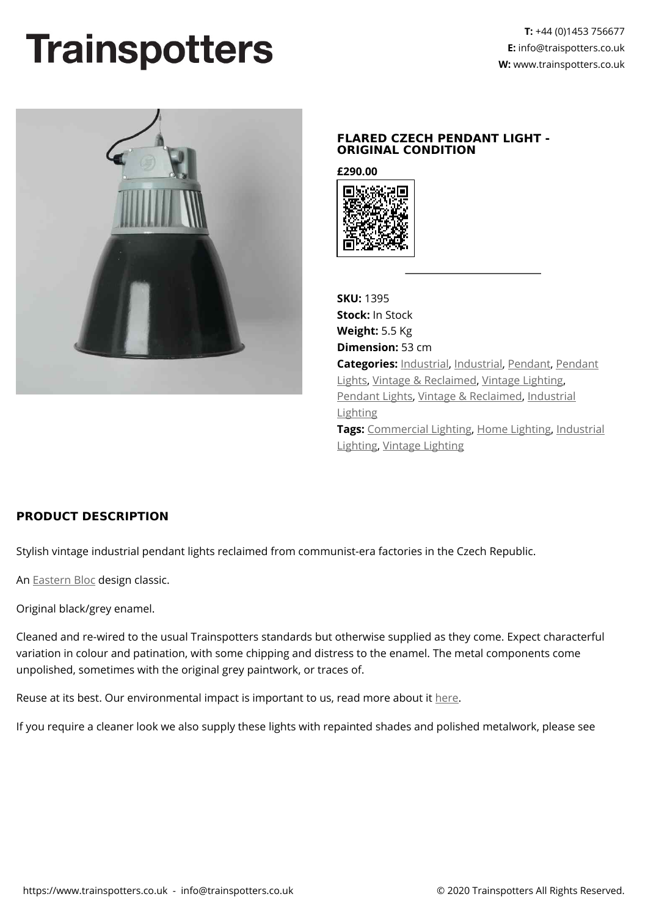## **Trainspotters**



## **FLARED CZECH PENDANT LIGHT - ORIGINAL CONDITION**

**£290.00**



**SKU:** 1395 **Stock:** In Stock **Weight:** 5.5 Kg **Dimension:** 53 cm **Categories:** [Industrial](https://www.trainspotters.co.uk/industrial/), [Industrial,](https://www.trainspotters.co.uk/industrial/) [Pendant,](https://www.trainspotters.co.uk/pendant-lights/) [Pendant](https://www.trainspotters.co.uk/pendant-lights/) [Lights](https://www.trainspotters.co.uk/pendant-lights/), [Vintage & Reclaimed](https://www.trainspotters.co.uk/vintage-reclaimed/), [Vintage Lighting](https://www.trainspotters.co.uk/vintage-reclaimed/), [Pendant Lights](https://www.trainspotters.co.uk/pendant-lights/), [Vintage & Reclaimed,](https://www.trainspotters.co.uk/vintage-reclaimed/) [Industrial](https://www.trainspotters.co.uk/industrial/) [Lighting](https://www.trainspotters.co.uk/industrial/) **Tags:** [Commercial Lighting](https://www.trainspotters.co.uk/commercial-lighting/), [Home Lighting](https://www.trainspotters.co.uk/home-lighting/), [Industrial](https://www.trainspotters.co.uk/industrial/) [Lighting,](https://www.trainspotters.co.uk/industrial/) [Vintage Lighting](https://www.trainspotters.co.uk/vintage-reclaimed/)

## **PRODUCT DESCRIPTION**

Stylish vintage industrial pendant lights reclaimed from communist-era factories in the Czech Republic.

An [Eastern Bloc](https://en.wikipedia.org/wiki/Eastern_Bloc) design classic.

Original black/grey enamel.

Cleaned and re-wired to the usual Trainspotters standards but otherwise supplied as they come. Expect characterful variation in colour and patination, with some chipping and distress to the enamel. The metal components come unpolished, sometimes with the original grey paintwork, or traces of.

Reuse at its best. Our environmental impact is important to us, read more about it [here](https://www.trainspotters.co.uk/environment-sustainability/).

If you require a cleaner look we also supply these lights with repainted shades and polished metalwork, please see